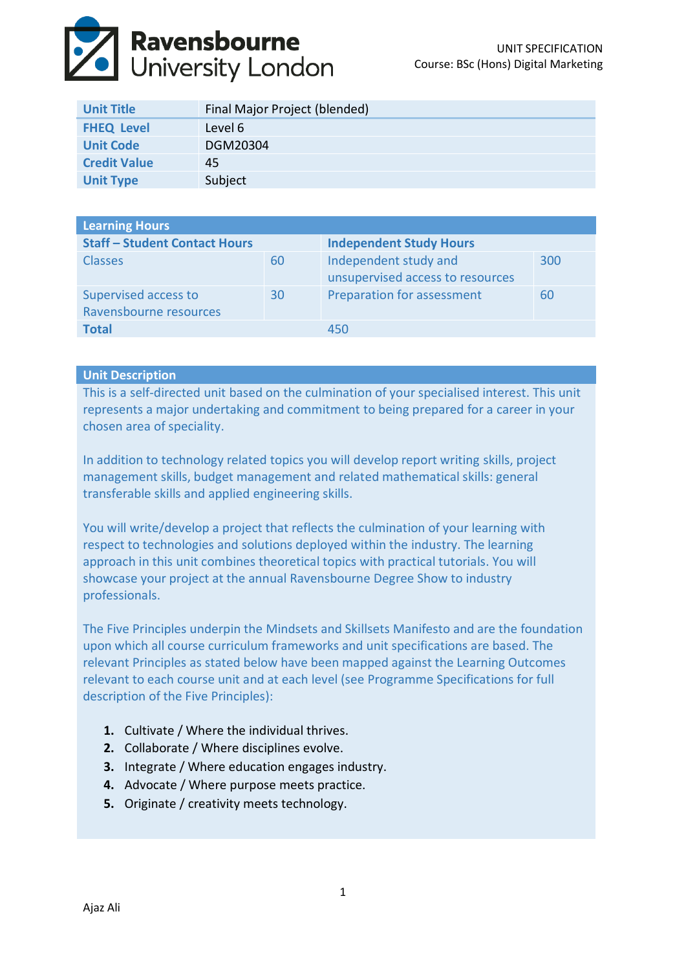

| <b>Unit Title</b>   | Final Major Project (blended) |
|---------------------|-------------------------------|
| <b>FHEQ Level</b>   | Level 6                       |
| <b>Unit Code</b>    | DGM20304                      |
| <b>Credit Value</b> | 45                            |
| <b>Unit Type</b>    | Subject                       |

| <b>Learning Hours</b>                          |    |                                                           |     |  |  |
|------------------------------------------------|----|-----------------------------------------------------------|-----|--|--|
| <b>Staff - Student Contact Hours</b>           |    | <b>Independent Study Hours</b>                            |     |  |  |
| <b>Classes</b>                                 | 60 | Independent study and<br>unsupervised access to resources | 300 |  |  |
| Supervised access to<br>Ravensbourne resources | 30 | Preparation for assessment                                | 60  |  |  |
| <b>Total</b>                                   |    | 450                                                       |     |  |  |

## **Unit Description**

This is a self-directed unit based on the culmination of your specialised interest. This unit represents a major undertaking and commitment to being prepared for a career in your chosen area of speciality.

In addition to technology related topics you will develop report writing skills, project management skills, budget management and related mathematical skills: general transferable skills and applied engineering skills.

You will write/develop a project that reflects the culmination of your learning with respect to technologies and solutions deployed within the industry. The learning approach in this unit combines theoretical topics with practical tutorials. You will showcase your project at the annual Ravensbourne Degree Show to industry professionals.

The Five Principles underpin the Mindsets and Skillsets Manifesto and are the foundation upon which all course curriculum frameworks and unit specifications are based. The relevant Principles as stated below have been mapped against the Learning Outcomes relevant to each course unit and at each level (see Programme Specifications for full description of the Five Principles):

- **1.** Cultivate / Where the individual thrives.
- **2.** Collaborate / Where disciplines evolve.
- **3.** Integrate / Where education engages industry.
- **4.** Advocate / Where purpose meets practice.
- **5.** Originate / creativity meets technology.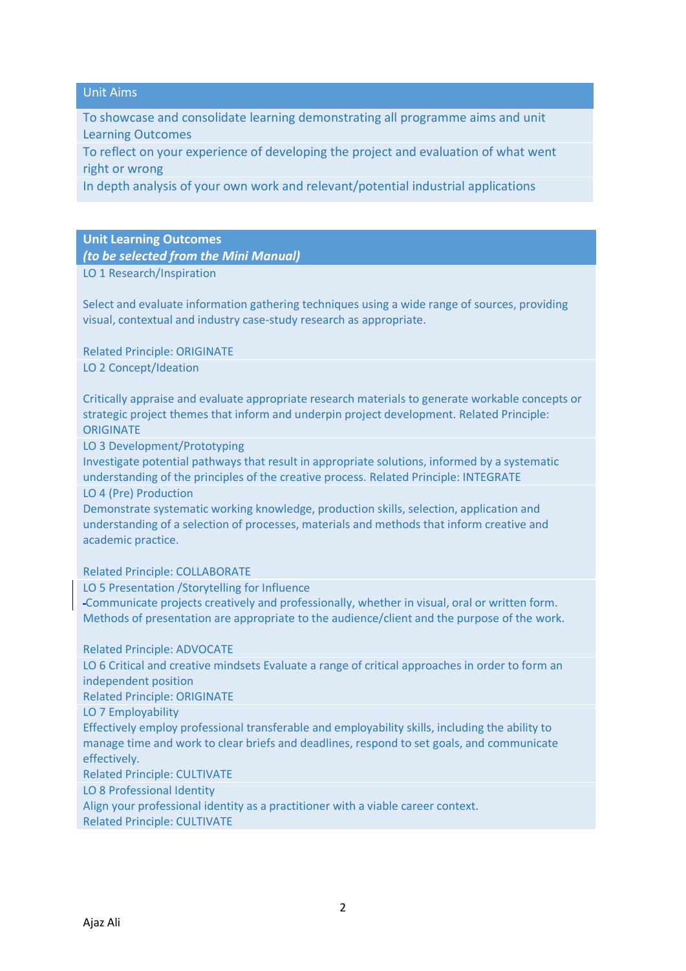## Unit Aims

To showcase and consolidate learning demonstrating all programme aims and unit Learning Outcomes

To reflect on your experience of developing the project and evaluation of what went right or wrong

In depth analysis of your own work and relevant/potential industrial applications

#### **Unit Learning Outcomes**

*(to be selected from the Mini Manual)*

LO 1 Research/Inspiration

Select and evaluate information gathering techniques using a wide range of sources, providing visual, contextual and industry case-study research as appropriate.

Related Principle: ORIGINATE LO 2 Concept/Ideation

Critically appraise and evaluate appropriate research materials to generate workable concepts or strategic project themes that inform and underpin project development. Related Principle: **ORIGINATE** 

LO 3 Development/Prototyping

Investigate potential pathways that result in appropriate solutions, informed by a systematic understanding of the principles of the creative process. Related Principle: INTEGRATE LO 4 (Pre) Production

Demonstrate systematic working knowledge, production skills, selection, application and understanding of a selection of processes, materials and methods that inform creative and academic practice.

Related Principle: COLLABORATE

LO 5 Presentation /Storytelling for Influence

Communicate projects creatively and professionally, whether in visual, oral or written form. Methods of presentation are appropriate to the audience/client and the purpose of the work.

Related Principle: ADVOCATE

LO 6 Critical and creative mindsets Evaluate a range of critical approaches in order to form an independent position

Related Principle: ORIGINATE

LO 7 Employability

Effectively employ professional transferable and employability skills, including the ability to manage time and work to clear briefs and deadlines, respond to set goals, and communicate effectively.

Related Principle: CULTIVATE

LO 8 Professional Identity

Align your professional identity as a practitioner with a viable career context. Related Principle: CULTIVATE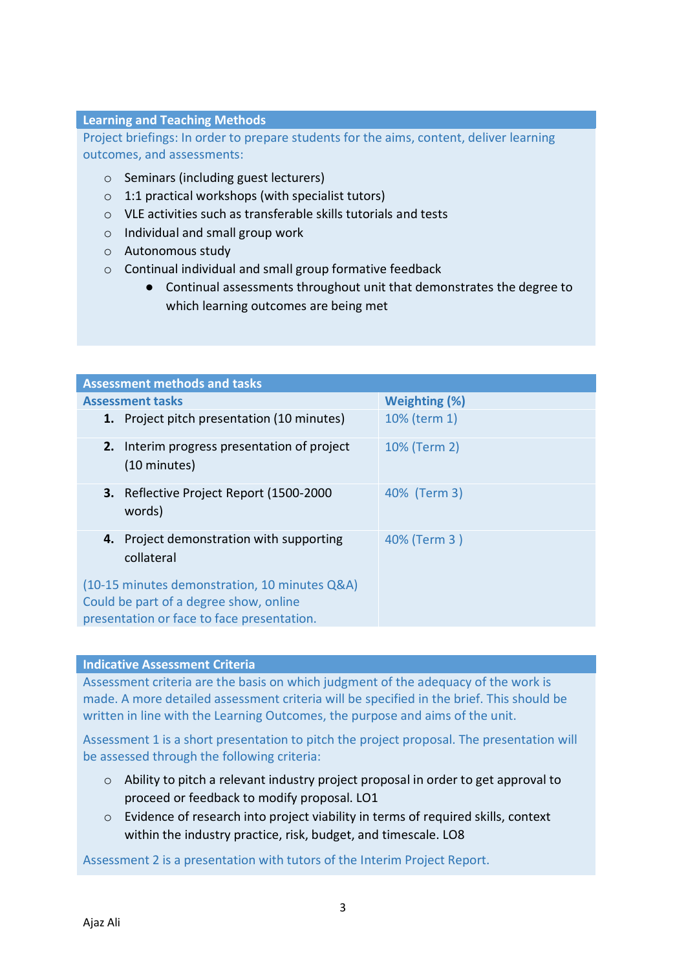# **Learning and Teaching Methods**

Project briefings: In order to prepare students for the aims, content, deliver learning outcomes, and assessments:

- o Seminars (including guest lecturers)
- $\circ$  1:1 practical workshops (with specialist tutors)
- o VLE activities such as transferable skills tutorials and tests
- o Individual and small group work
- o Autonomous study
- o Continual individual and small group formative feedback
	- Continual assessments throughout unit that demonstrates the degree to which learning outcomes are being met

| <b>Assessment methods and tasks</b>                                                                                                   |                      |  |  |  |
|---------------------------------------------------------------------------------------------------------------------------------------|----------------------|--|--|--|
| <b>Assessment tasks</b>                                                                                                               | <b>Weighting (%)</b> |  |  |  |
| 1. Project pitch presentation (10 minutes)                                                                                            | 10% (term 1)         |  |  |  |
| 2. Interim progress presentation of project<br>(10 minutes)                                                                           | 10% (Term 2)         |  |  |  |
| 3. Reflective Project Report (1500-2000<br>words)                                                                                     | 40% (Term 3)         |  |  |  |
| 4. Project demonstration with supporting<br>collateral                                                                                | 40% (Term 3)         |  |  |  |
| (10-15 minutes demonstration, 10 minutes Q&A)<br>Could be part of a degree show, online<br>presentation or face to face presentation. |                      |  |  |  |

### **Indicative Assessment Criteria**

Assessment criteria are the basis on which judgment of the adequacy of the work is made. A more detailed assessment criteria will be specified in the brief. This should be written in line with the Learning Outcomes, the purpose and aims of the unit.

Assessment 1 is a short presentation to pitch the project proposal. The presentation will be assessed through the following criteria:

- $\circ$  Ability to pitch a relevant industry project proposal in order to get approval to proceed or feedback to modify proposal. LO1
- o Evidence of research into project viability in terms of required skills, context within the industry practice, risk, budget, and timescale. LO8

Assessment 2 is a presentation with tutors of the Interim Project Report.